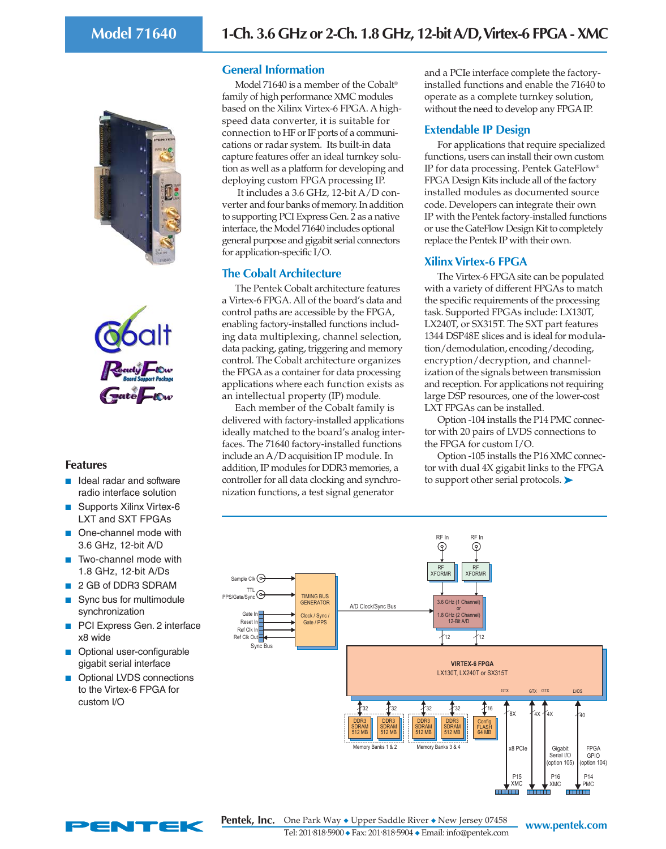



### **Features**

- Ideal radar and software radio interface solution
- Supports Xilinx Virtex-6 LXT and SXT FPGAs
- One-channel mode with 3.6 GHz, 12-bit A/D
- Two-channel mode with 1.8 GHz, 12-bit A/Ds
- 2 GB of DDR3 SDRAM
- Sync bus for multimodule synchronization
- PCI Express Gen. 2 interface x8 wide
- Optional user-configurable gigabit serial interface
- Optional LVDS connections to the Virtex-6 FPGA for custom I/O

### **General Information**

Model 71640 is a member of the Cobalt® family of high performance XMC modules based on the Xilinx Virtex-6 FPGA. A highspeed data converter, it is suitable for connection to HF or IF ports of a communications or radar system. Its built-in data capture features offer an ideal turnkey solution as well as a platform for developing and deploying custom FPGA processing IP.

 It includes a 3.6 GHz, 12-bit A/D converter and four banks of memory. In addition to supporting PCI Express Gen. 2 as a native interface, the Model 71640 includes optional general purpose and gigabit serial connectors for application-specific I/O.

### **The Cobalt Architecture**

The Pentek Cobalt architecture features a Virtex-6 FPGA. All of the board's data and control paths are accessible by the FPGA, enabling factory-installed functions including data multiplexing, channel selection, data packing, gating, triggering and memory control. The Cobalt architecture organizes the FPGA as a container for data processing applications where each function exists as an intellectual property (IP) module.

Each member of the Cobalt family is delivered with factory-installed applications ideally matched to the board's analog interfaces. The 71640 factory-installed functions include an A/D acquisition IP module. In addition, IP modules for DDR3 memories, a controller for all data clocking and synchronization functions, a test signal generator

and a PCIe interface complete the factoryinstalled functions and enable the 71640 to operate as a complete turnkey solution, without the need to develop any FPGA IP.

## **Extendable IP Design**

For applications that require specialized functions, users can install their own custom IP for data processing. Pentek GateFlow® FPGA Design Kits include all of the factory installed modules as documented source code. Developers can integrate their own IP with the Pentek factory-installed functions or use the GateFlow Design Kit to completely replace the Pentek IP with their own.

## **Xilinx Virtex-6 FPGA**

The Virtex-6 FPGA site can be populated with a variety of different FPGAs to match the specific requirements of the processing task. Supported FPGAs include: LX130T, LX240T, or SX315T. The SXT part features 1344 DSP48E slices and is ideal for modulation/demodulation, encoding/decoding, encryption/decryption, and channelization of the signals between transmission and reception. For applications not requiring large DSP resources, one of the lower-cost LXT FPGAs can be installed.

Option -104 installs the P14 PMC connector with 20 pairs of LVDS connections to the FPGA for custom I/O.

Option -105 installs the P16 XMC connector with dual 4X gigabit links to the FPGA to support other serial protocols. ➤





**Pentek, Inc.** One Park Way ◆ Upper Saddle River ◆ New Jersey 07458 www.pentek.com Tel: 201. 818. 5900 ◆ Fax: 201. 818. 5904 ◆ Email: info@pentek.com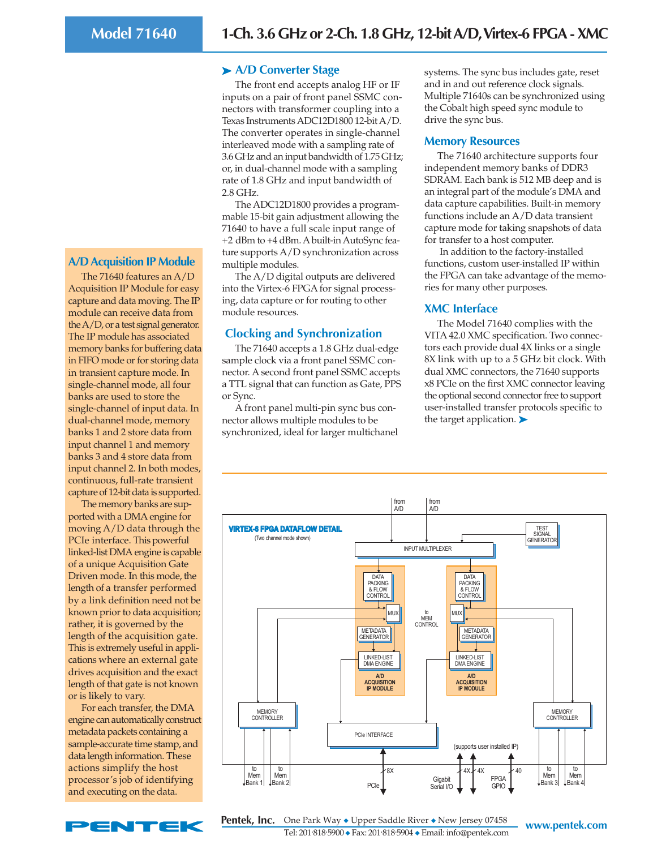# **A/D Acquisition IP Module**

The 71640 features an A/D Acquisition IP Module for easy capture and data moving. The IP module can receive data from the A/D, or a test signal generator. The IP module has associated memory banks for buffering data in FIFO mode or for storing data in transient capture mode. In single-channel mode, all four banks are used to store the single-channel of input data. In dual-channel mode, memory banks 1 and 2 store data from input channel 1 and memory banks 3 and 4 store data from input channel 2. In both modes, continuous, full-rate transient capture of 12-bit data is supported.

The memory banks are supported with a DMA engine for moving A/D data through the PCIe interface. This powerful linked-list DMA engine is capable of a unique Acquisition Gate Driven mode. In this mode, the length of a transfer performed by a link definition need not be known prior to data acquisition; rather, it is governed by the length of the acquisition gate. This is extremely useful in applications where an external gate drives acquisition and the exact length of that gate is not known or is likely to vary.

For each transfer, the DMA engine can automatically construct metadata packets containing a sample-accurate time stamp, and data length information. These actions simplify the host processor's job of identifying and executing on the data.

ENTE

#### ➤ **A/D Converter Stage**

The front end accepts analog HF or IF inputs on a pair of front panel SSMC connectors with transformer coupling into a Texas Instruments ADC12D1800 12-bit A/D. The converter operates in single-channel interleaved mode with a sampling rate of 3.6 GHz and an input bandwidth of 1.75 GHz; or, in dual-channel mode with a sampling rate of 1.8 GHz and input bandwidth of 2.8 GHz.

The ADC12D1800 provides a programmable 15-bit gain adjustment allowing the 71640 to have a full scale input range of +2 dBm to +4 dBm. A built-in AutoSync feature supports A/D synchronization across multiple modules.

The A/D digital outputs are delivered into the Virtex-6 FPGA for signal processing, data capture or for routing to other module resources.

#### **Clocking and Synchronization**

The 71640 accepts a 1.8 GHz dual-edge sample clock via a front panel SSMC connector. A second front panel SSMC accepts a TTL signal that can function as Gate, PPS or Sync.

A front panel multi-pin sync bus connector allows multiple modules to be synchronized, ideal for larger multichanel systems. The sync bus includes gate, reset and in and out reference clock signals. Multiple 71640s can be synchronized using the Cobalt high speed sync module to drive the sync bus.

#### **Memory Resources**

The 71640 architecture supports four independent memory banks of DDR3 SDRAM. Each bank is 512 MB deep and is an integral part of the module's DMA and data capture capabilities. Built-in memory functions include an A/D data transient capture mode for taking snapshots of data for transfer to a host computer.

 In addition to the factory-installed functions, custom user-installed IP within the FPGA can take advantage of the memories for many other purposes.

#### **XMC Interface**

The Model 71640 complies with the VITA 42.0 XMC specification. Two connectors each provide dual 4X links or a single 8X link with up to a 5 GHz bit clock. With dual XMC connectors, the 71640 supports x8 PCIe on the first XMC connector leaving the optional second connector free to support user-installed transfer protocols specific to the target application. ➤